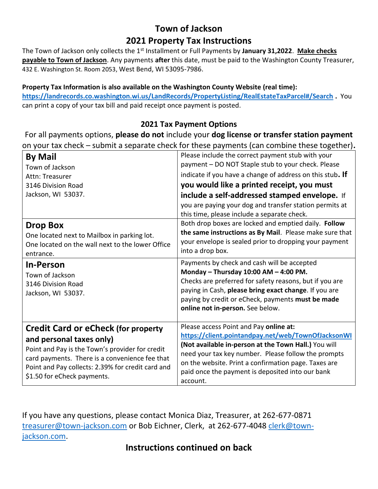## **Town of Jackson 2021 Property Tax Instructions**

The Town of Jackson only collects the 1st Installment or Full Payments by **January 31,2022**. **Make checks payable to Town of Jackson**. Any payments **after** this date, must be paid to the Washington County Treasurer, 432 E. Washington St. Room 2053, West Bend, WI 53095-7986.

## **Property Tax Information is also available on the Washington County Website (real time):**

**<https://landrecords.co.washington.wi.us/LandRecords/PropertyListing/RealEstateTaxParcel#/Search> .** You can print a copy of your tax bill and paid receipt once payment is posted.

## **2021 Tax Payment Options**

For all payments options, **please do not** include your **dog license or transfer station payment** on your tax check – submit a separate check for these payments (can combine these together)**.**

| <b>By Mail</b><br>Town of Jackson<br>Attn: Treasurer<br>3146 Division Road<br>Jackson, WI 53037.<br><b>Drop Box</b><br>One located next to Mailbox in parking lot.                                                                                              | Please include the correct payment stub with your<br>payment - DO NOT Staple stub to your check. Please<br>indicate if you have a change of address on this stub. If<br>you would like a printed receipt, you must<br>include a self-addressed stamped envelope. If<br>you are paying your dog and transfer station permits at<br>this time, please include a separate check.<br>Both drop boxes are locked and emptied daily. Follow<br>the same instructions as By Mail. Please make sure that |
|-----------------------------------------------------------------------------------------------------------------------------------------------------------------------------------------------------------------------------------------------------------------|--------------------------------------------------------------------------------------------------------------------------------------------------------------------------------------------------------------------------------------------------------------------------------------------------------------------------------------------------------------------------------------------------------------------------------------------------------------------------------------------------|
| One located on the wall next to the lower Office<br>entrance.                                                                                                                                                                                                   | your envelope is sealed prior to dropping your payment<br>into a drop box.                                                                                                                                                                                                                                                                                                                                                                                                                       |
| <b>In-Person</b><br>Town of Jackson<br>3146 Division Road<br>Jackson, WI 53037.                                                                                                                                                                                 | Payments by check and cash will be accepted<br>Monday - Thursday 10:00 AM - 4:00 PM.<br>Checks are preferred for safety reasons, but if you are<br>paying in Cash, please bring exact change. If you are<br>paying by credit or eCheck, payments must be made<br>online not in-person. See below.                                                                                                                                                                                                |
| <b>Credit Card or eCheck (for property</b><br>and personal taxes only)<br>Point and Pay is the Town's provider for credit<br>card payments. There is a convenience fee that<br>Point and Pay collects: 2.39% for credit card and<br>\$1.50 for eCheck payments. | Please access Point and Pay online at:<br>https://client.pointandpay.net/web/TownOfJacksonWI<br>(Not available in-person at the Town Hall.) You will<br>need your tax key number. Please follow the prompts<br>on the website. Print a confirmation page. Taxes are<br>paid once the payment is deposited into our bank<br>account.                                                                                                                                                              |

If you have any questions, please contact Monica Diaz, Treasurer, at 262-677-0871 [treasurer@town-jackson.com](mailto:treasurer@town-jackson.com) or Bob Eichner, Clerk, at 262-677-4048 [clerk@town](mailto:clerk@town-jackson.com)[jackson.com.](mailto:clerk@town-jackson.com)

**Instructions continued on back**